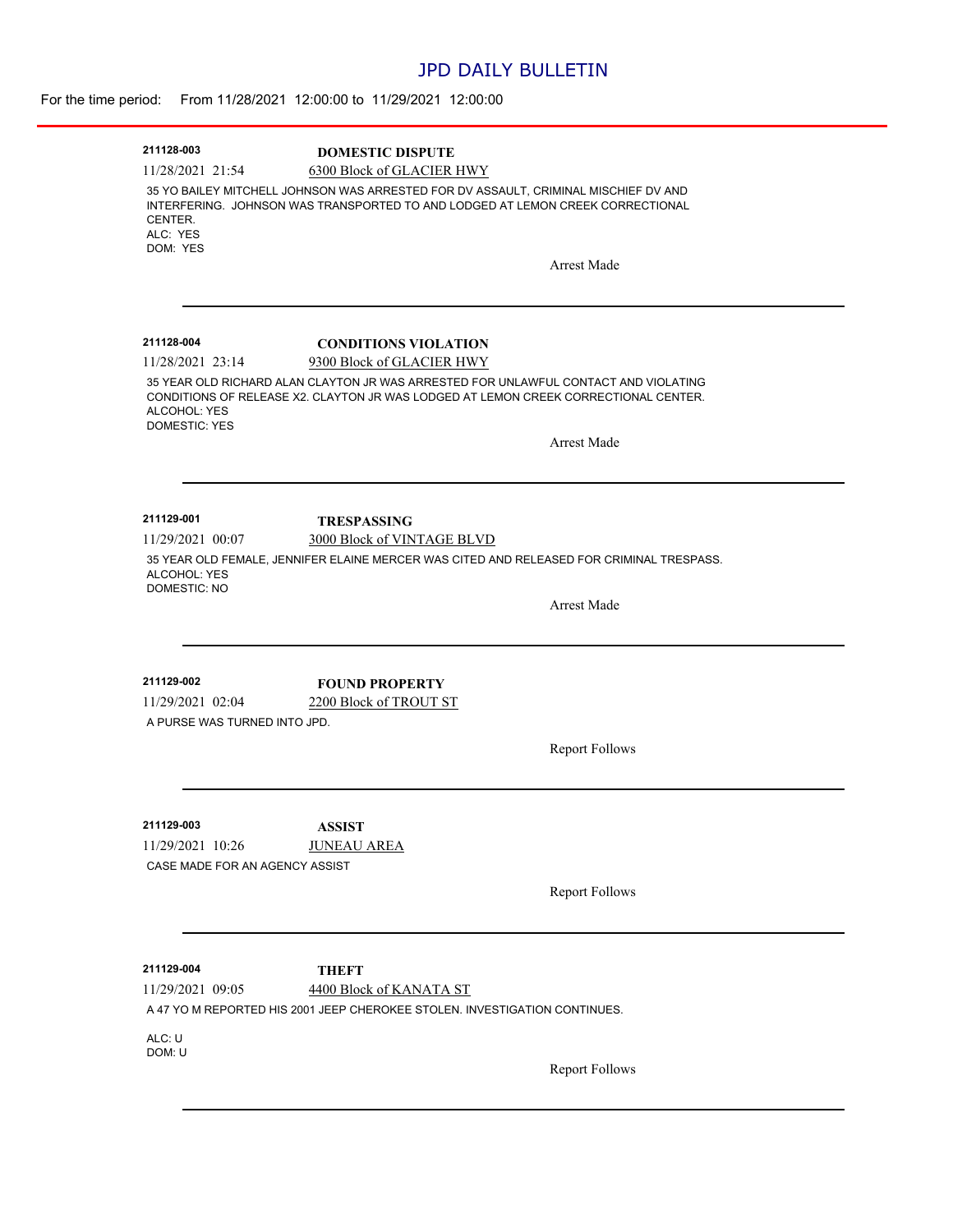## JPD DAILY BULLETIN

| 211128-003                          | <b>DOMESTIC DISPUTE</b>                                                                  |
|-------------------------------------|------------------------------------------------------------------------------------------|
| 11/28/2021 21:54                    | 6300 Block of GLACIER HWY                                                                |
|                                     | 35 YO BAILEY MITCHELL JOHNSON WAS ARRESTED FOR DV ASSAULT, CRIMINAL MISCHIEF DV AND      |
|                                     | INTERFERING. JOHNSON WAS TRANSPORTED TO AND LODGED AT LEMON CREEK CORRECTIONAL           |
| CENTER.<br>ALC: YES                 |                                                                                          |
| DOM: YES                            |                                                                                          |
|                                     | <b>Arrest Made</b>                                                                       |
|                                     |                                                                                          |
|                                     |                                                                                          |
| 211128-004                          | <b>CONDITIONS VIOLATION</b>                                                              |
| 11/28/2021 23:14                    | 9300 Block of GLACIER HWY                                                                |
|                                     | 35 YEAR OLD RICHARD ALAN CLAYTON JR WAS ARRESTED FOR UNLAWFUL CONTACT AND VIOLATING      |
| ALCOHOL: YES                        | CONDITIONS OF RELEASE X2. CLAYTON JR WAS LODGED AT LEMON CREEK CORRECTIONAL CENTER.      |
| <b>DOMESTIC: YES</b>                |                                                                                          |
|                                     | <b>Arrest Made</b>                                                                       |
|                                     |                                                                                          |
|                                     |                                                                                          |
| 211129-001                          | <b>TRESPASSING</b>                                                                       |
| 11/29/2021 00:07                    | 3000 Block of VINTAGE BLVD                                                               |
| ALCOHOL: YES<br><b>DOMESTIC: NO</b> | 35 YEAR OLD FEMALE, JENNIFER ELAINE MERCER WAS CITED AND RELEASED FOR CRIMINAL TRESPASS. |
|                                     | <b>Arrest Made</b>                                                                       |
|                                     |                                                                                          |
|                                     |                                                                                          |
| 211129-002                          | <b>FOUND PROPERTY</b>                                                                    |
| 11/29/2021 02:04                    | 2200 Block of TROUT ST                                                                   |
| A PURSE WAS TURNED INTO JPD.        |                                                                                          |
|                                     | <b>Report Follows</b>                                                                    |
|                                     |                                                                                          |
|                                     |                                                                                          |
| 211129-003                          | <b>ASSIST</b>                                                                            |
| 11/29/2021 10:26                    | <b>JUNEAU AREA</b>                                                                       |
| CASE MADE FOR AN AGENCY ASSIST      |                                                                                          |
|                                     | <b>Report Follows</b>                                                                    |
|                                     |                                                                                          |
|                                     |                                                                                          |
| 211129-004                          | <b>THEFT</b>                                                                             |
| 11/29/2021 09:05                    | 4400 Block of KANATA ST                                                                  |
|                                     | A 47 YO M REPORTED HIS 2001 JEEP CHEROKEE STOLEN. INVESTIGATION CONTINUES.               |
|                                     |                                                                                          |
| ALC: U                              |                                                                                          |